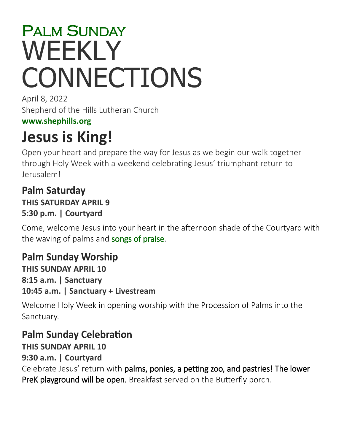# PALM SUNDAY **WEEKLY CONNECTIONS**

April 8, 2022 Shepherd of the Hills Lutheran Church

### **[www.shephills.org](http://www.shephills.org)**

# **Jesus is King!**

Open your heart and prepare the way for Jesus as we begin our walk together through Holy Week with a weekend celebrating Jesus' triumphant return to Jerusalem!

### **Palm Saturday THIS SATURDAY APRIL 9 5:30 p.m. | Courtyard**

Come, welcome Jesus into your heart in the afternoon shade of the Courtyard with the waving of palms and songs of praise.

# **Palm Sunday Worship**

**THIS SUNDAY APRIL 10 8:15 a.m. | Sanctuary 10:45 a.m. | Sanctuary + Livestream**

Welcome Holy Week in opening worship with the Procession of Palms into the Sanctuary.

### **Palm Sunday Celebration**

**THIS SUNDAY APRIL 10**

**9:30 a.m. | Courtyard**

Celebrate Jesus' return with palms, ponies, a petting zoo, and pastries! The lower PreK playground will be open. Breakfast served on the Butterfly porch.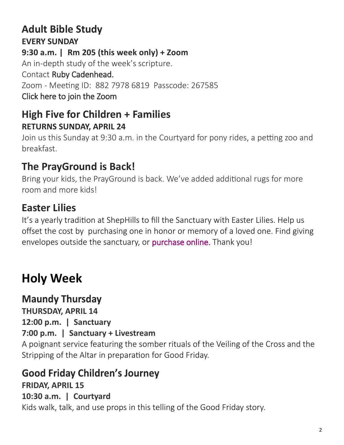### **Adult Bible Study EVERY SUNDAY**

### **9:30 a.m. | Rm 205 (this week only) + Zoom**

An in-depth study of the week's scripture.

### Contact [Ruby Cadenhead.](mailto:rubies61@gmail.com)

Zoom - Meeting ID: 882 7978 6819 Passcode: 267585

[Click here to join the Zoom](https://us02web.zoom.us/j/88279786819?pwd=Uytzc1NsT0xCWlM5dnVCMlBFZ1djUT09) 

### **High Five for Children + Families RETURNS SUNDAY, APRIL 24**

Join us this Sunday at 9:30 a.m. in the Courtyard for pony rides, a petting zoo and breakfast.

# **The PrayGround is Back!**

Bring your kids, the PrayGround is back. We've added additional rugs for more room and more kids!

# **Easter Lilies**

It's a yearly tradition at ShepHills to fill the Sanctuary with Easter Lilies. Help us offset the cost by purchasing one in honor or memory of a loved one. Find giving envelopes outside the sanctuary, or [purchase online.](https://onrealm.org/shephills/give/lily) Thank you!

# **Holy Week**

**Maundy Thursday THURSDAY, APRIL 14 12:00 p.m. | Sanctuary**

### **7:00 p.m. | Sanctuary + Livestream**

A poignant service featuring the somber rituals of the Veiling of the Cross and the Stripping of the Altar in preparation for Good Friday.

### **Good Friday Children's Journey**

### **FRIDAY, APRIL 15 10:30 a.m. | Courtyard** Kids walk, talk, and use props in this telling of the Good Friday story.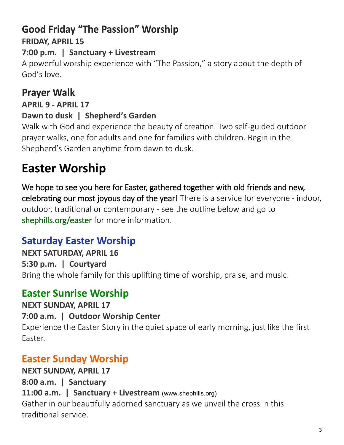# **Good Friday "The Passion" Worship FRIDAY, APRIL 15**

### **7:00 p.m. | Sanctuary + Livestream**

A powerful worship experience with "The Passion," a story about the depth of God's love.

# **Prayer Walk**

**APRIL 9 - APRIL 17**

### **Dawn to dusk | Shepherd's Garden**

Walk with God and experience the beauty of creation. Two self-guided outdoor prayer walks, one for adults and one for families with children. Begin in the Shepherd's Garden anytime from dawn to dusk.

# **Easter Worship**

We hope to see you here for Easter, gathered together with old friends and new, celebrating our most joyous day of the year! There is a service for everyone - indoor, outdoor, traditional or contemporary - see the outline below and go to <shephills.org/easter> for more information.

### **Saturday Easter Worship**

**NEXT SATURDAY, APRIL 16 5:30 p.m. | Courtyard** Bring the whole family for this uplifting time of worship, praise, and music.

### **Easter Sunrise Worship**

**NEXT SUNDAY, APRIL 17 7:00 a.m. | Outdoor Worship Center**

Experience the Easter Story in the quiet space of early morning, just like the first Easter.

# **Easter Sunday Worship**

**NEXT SUNDAY, APRIL 17 8:00 a.m. | Sanctuary 11:00 a.m. | Sanctuary + Livestream** (www.shephills.org) Gather in our beautifully adorned sanctuary as we unveil the cross in this traditional service.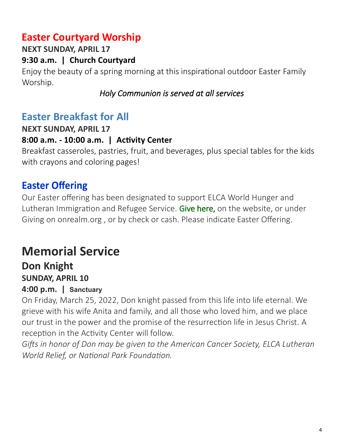# **Easter Courtyard Worship**

**NEXT SUNDAY, APRIL 17**

**9:30 a.m. | Church Courtyard** 

Enjoy the beauty of a spring morning at this inspirational outdoor Easter Family Worship.

### *Holy Communion is served at all services*

### **Easter Breakfast for All**

**NEXT SUNDAY, APRIL 17**

### **8:00 a.m. - 10:00 a.m. | Activity Center**

Breakfast casseroles, pastries, fruit, and beverages, plus special tables for the kids with crayons and coloring pages!

# **Easter Offering**

Our Easter offering has been designated to support ELCA World Hunger and Lutheran Immigration and Refugee Service. [Give here,](http://www.shephills.org/give/) on the website, or under Giving on onrealm.org , or by check or cash. Please indicate Easter Offering.

# **Memorial Service**

### **Don Knight SUNDAY, APRIL 10**

### **4:00 p.m. | Sanctuary**

On Friday, March 25, 2022, Don knight passed from this life into life eternal. We grieve with his wife Anita and family, and all those who loved him, and we place our trust in the power and the promise of the resurrection life in Jesus Christ. A reception in the Activity Center will follow.

*Gifts in honor of Don may be given to the American Cancer Society, ELCA Lutheran World Relief, or National Park Foundation.*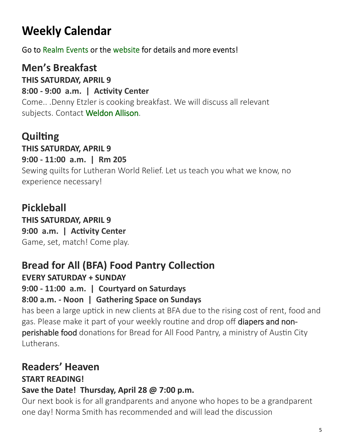# **Weekly Calendar**

Go to Realm Events or the website for details and more events!

# **Men's Breakfast**

### **THIS SATURDAY, APRIL 9**

**8:00 - 9:00 a.m. | Activity Center**

Come.. .Denny Etzler is cooking breakfast. We will discuss all relevant subjects. Contact [Weldon Allison.](mailto:Weldon.allison.46@gmail.com)

# **Quilting**

**THIS SATURDAY, APRIL 9**

### **9:00 - 11:00 a.m. | Rm 205**

Sewing quilts for Lutheran World Relief. Let us teach you what we know, no experience necessary!

# **Pickleball**

**THIS SATURDAY, APRIL 9 9:00 a.m. | Activity Center** Game, set, match! Come play.

# **Bread for All (BFA) Food Pantry Collection**

### **EVERY SATURDAY + SUNDAY**

**9:00 - 11:00 a.m. | Courtyard on Saturdays**

### **8:00 a.m. - Noon | Gathering Space on Sundays**

has been a large uptick in new clients at BFA due to the rising cost of rent, food and gas. Please make it part of your weekly routine and drop off diapers and nonperishable food donations for Bread for All Food Pantry, a ministry of Austin City Lutherans.

# **Readers' Heaven**

### **START READING!**

### **Save the Date! Thursday, April 28 @ 7:00 p.m.**

Our next book is for all grandparents and anyone who hopes to be a grandparent one day! Norma Smith has recommended and will lead the discussion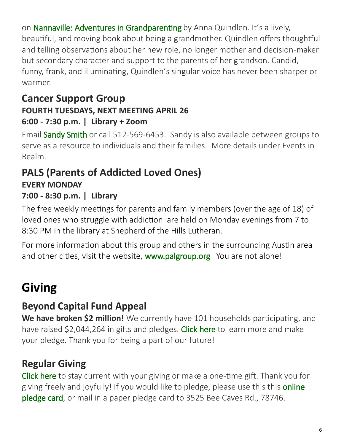on [Nannaville: Adventures in Grandparenting](https://www.bookpeople.com/book/9780812985917) by Anna Quindlen. It's a lively, beautiful, and moving book about being a grandmother. Quindlen offers thoughtful and telling observations about her new role, no longer mother and decision-maker but secondary character and support to the parents of her grandson. Candid, funny, frank, and illuminating, Quindlen's singular voice has never been sharper or warmer.

### **Cancer Support Group FOURTH TUESDAYS, NEXT MEETING APRIL 26 6:00 - 7:30 p.m. | Library + Zoom**

Email [Sandy Smith](mailto:texas.sandysmith@gmail.com) or call 512-569-6453. Sandy is also available between groups to serve as a resource to individuals and their families. More details under Events in Realm.

### **PALS (Parents of Addicted Loved Ones) EVERY MONDAY 7:00 - 8:30 p.m. | Library**

The free weekly meetings for parents and family members (over the age of 18) of loved ones who struggle with addiction are held on Monday evenings from 7 to 8:30 PM in the library at Shepherd of the Hills Lutheran.

For more information about this group and others in the surrounding Austin area and other cities, visit the website, [www.palgroup.org](http://www.palgroup.org) You are not alone!

# **Giving**

# **Beyond Capital Fund Appeal**

**We have broken \$2 million!** We currently have 101 households participating, and have raised \$2,044,264 in gifts and pledges. [Click here](https://shephills.org/beyond/) to learn more and make your pledge. Thank you for being a part of our future!

# **Regular Giving**

[Click here](https://shephills.org/give/) to stay current with your giving or make a one-time gift. Thank you for giving freely and joyfully! If you would like to pledge, please use this this online [pledge card,](https://shephills.org/pledge/) or mail in a paper pledge card to 3525 Bee Caves Rd., 78746.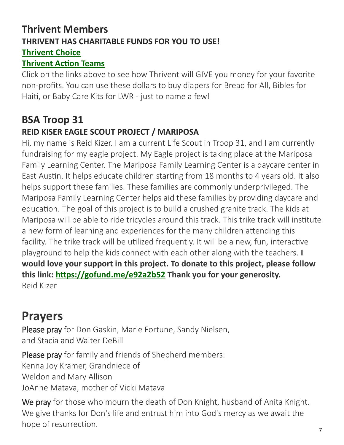### **Thrivent Members THRIVENT HAS CHARITABLE FUNDS FOR YOU TO USE! [Thrivent Choice](https://www.thrivent.com/about-us/membership/thrivent-choice)**

#### **[Thrivent Action Teams](https://www.thrivent.com/about-us/membership/thrivent-action-teams)**

Click on the links above to see how Thrivent will GIVE you money for your favorite non-profits. You can use these dollars to buy diapers for Bread for All, Bibles for Haiti, or Baby Care Kits for LWR - just to name a few!

### **BSA Troop 31 REID KISER EAGLE SCOUT PROJECT / MARIPOSA**

Hi, my name is Reid Kizer. I am a current Life Scout in Troop 31, and I am currently fundraising for my eagle project. My Eagle project is taking place at the Mariposa Family Learning Center. The Mariposa Family Learning Center is a daycare center in East Austin. It helps educate children starting from 18 months to 4 years old. It also helps support these families. These families are commonly underprivileged. The Mariposa Family Learning Center helps aid these families by providing daycare and education. The goal of this project is to build a crushed granite track. The kids at Mariposa will be able to ride tricycles around this track. This trike track will institute a new form of learning and experiences for the many children attending this facility. The trike track will be utilized frequently. It will be a new, fun, interactive playground to help the kids connect with each other along with the teachers. **I would love your support in this project. To donate to this project, please follow this link: <https://gofund.me/e92a2b52> Thank you for your generosity.** Reid Kizer

# **Prayers**

Please pray for Don Gaskin, Marie Fortune, Sandy Nielsen, and Stacia and Walter DeBill

Please pray for family and friends of Shepherd members: Kenna Joy Kramer, Grandniece of Weldon and Mary Allison JoAnne Matava, mother of Vicki Matava

We pray for those who mourn the death of Don Knight, husband of Anita Knight. We give thanks for Don's life and entrust him into God's mercy as we await the hope of resurrection.